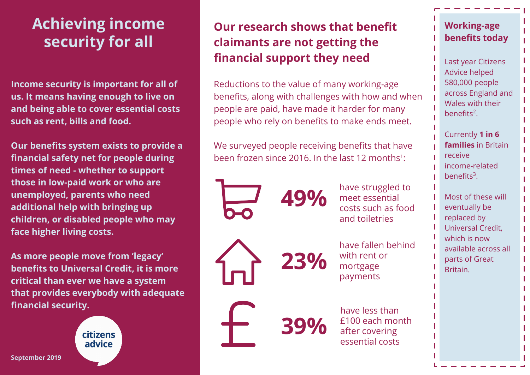# **Achieving income security for all**

**Income security is important for all of us. It means having enough to live on and being able to cover essential costs such as rent, bills and food.**

**Our benefits system exists to provide a financial safety net for people during times of need - whether to support those in low-paid work or who are unemployed, parents who need additional help with bringing up children, or disabled people who may face higher living costs.** 

**As more people move from 'legacy' benefits to Universal Credit, it is more critical than ever we have a system that provides everybody with adequate financial security.**

> citizens advice

## **Our research shows that benefit claimants are not getting the financial support they need**

Reductions to the value of many working-age benefits, along with challenges with how and when people are paid, have made it harder for many people who rely on benefits to make ends meet.

We surveyed people receiving benefits that have been frozen since 2016. In the last 12 months $\,$ :

**49%**

**23%**

**39%**

have struggled to meet essential costs such as food and toiletries

have fallen behind with rent or mortgage payments

have less than £100 each month after covering essential costs

### **Working-age benefits today**

Last year Citizens Advice helped 580,000 people across England and Wales with their benefits<sup>2</sup>.

Currently **1 in 6 families** in Britain receive income-related benefits<sup>3</sup>.

Most of these will eventually be replaced by Universal Credit, which is now available across all parts of Great Britain.

**September 2019**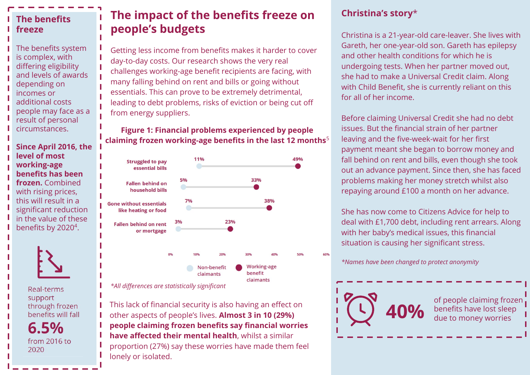#### **The benefits freeze**

The benefits system is complex, with differing eligibility and levels of awards depending on incomes or additional costs people may face as a result of personal circumstances.

**Since April 2016, the level of most working-age benefits has been frozen.** Combined with rising prices, this will result in a significant reduction in the value of these benefits by 2020<sup>4</sup>.



Real-terms support through frozen benefits will fall

 $6.5%$ from 2016 to 2020

### **The impact of the benefits freeze on people's budgets**

Getting less income from benefits makes it harder to cover day-to-day costs. Our research shows the very real challenges working-age benefit recipients are facing, with many falling behind on rent and bills or going without essentials. This can prove to be extremely detrimental, leading to debt problems, risks of eviction or being cut off from energy suppliers.

**Figure 1: Financial problems experienced by people claiming frozen working-age benefits in the last 12 months**<sup>5</sup>



*\*All differences are statistically significant*

This lack of financial security is also having an effect on other aspects of people's lives. **Almost 3 in 10 (29%) people claiming frozen benefits say financial worries have affected their mental health**, whilst a similar proportion (27%) say these worries have made them feel lonely or isolated.

#### **Christina's story**\*

Christina is a 21-year-old care-leaver. She lives with Gareth, her one-year-old son. Gareth has epilepsy and other health conditions for which he is undergoing tests. When her partner moved out, she had to make a Universal Credit claim. Along with Child Benefit, she is currently reliant on this for all of her income.

Before claiming Universal Credit she had no debt issues. But the financial strain of her partner leaving and the five-week-wait for her first payment meant she began to borrow money and fall behind on rent and bills, even though she took out an advance payment. Since then, she has faced problems making her money stretch whilst also repaying around £100 a month on her advance.

She has now come to Citizens Advice for help to deal with £1,700 debt, including rent arrears. Along with her baby's medical issues, this financial situation is causing her significant stress.

*\*Names have been changed to protect anonymity*

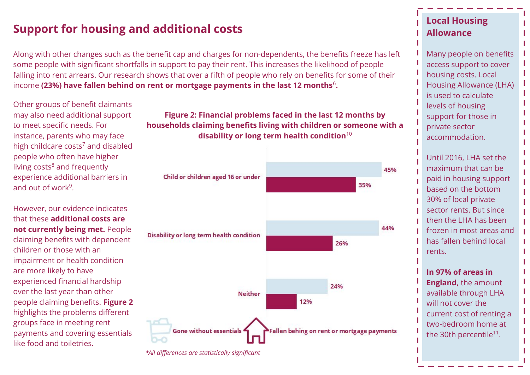### **Support for housing and additional costs**

Along with other changes such as the benefit cap and charges for non-dependents, the benefits freeze has left some people with significant shortfalls in support to pay their rent. This increases the likelihood of people falling into rent arrears. Our research shows that over a fifth of people who rely on benefits for some of their income (23%) have fallen behind on rent or mortgage payments in the last 12 months<sup>6</sup>.

Other groups of benefit claimants may also need additional support to meet specific needs. For instance, parents who may face high childcare costs<sup>7</sup> and disabled people who often have higher living costs<sup>8</sup> and frequently experience additional barriers in and out of work<sup>9</sup>.

However, our evidence indicates that these **additional costs are not currently being met.** People claiming benefits with dependent children or those with an impairment or health condition are more likely to have experienced financial hardship over the last year than other people claiming benefits. **Figure 2**  highlights the problems different groups face in meeting rent payments and covering essentials like food and toiletries.

#### **Figure 2: Financial problems faced in the last 12 months by households claiming benefits living with children or someone with a disability or long term health condition**<sup>10</sup>



*\*All differences are statistically significant*

### **Local Housing Allowance**

Many people on benefits access support to cover housing costs. Local Housing Allowance (LHA) is used to calculate levels of housing support for those in private sector accommodation.

Until 2016, LHA set the maximum that can be paid in housing support based on the bottom 30% of local private sector rents. But since then the LHA has been frozen in most areas and has fallen behind local rents.

п

**In 97% of areas in England,** the amount available through LHA will not cover the current cost of renting a two-bedroom home at the 30th percentile<sup>11</sup>.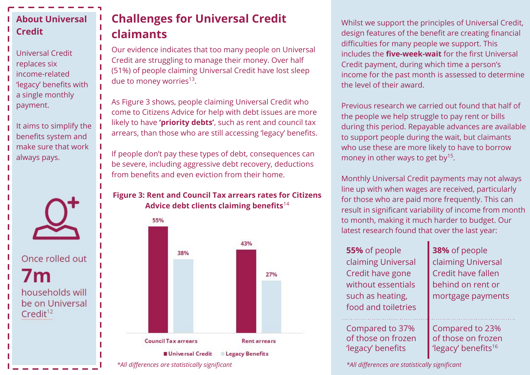### **About Universal Credit**

Universal Credit replaces six income-related 'legacy' benefits with a single monthly payment.

It aims to simplify the benefits system and make sure that work always pays.



Once rolled out

 $7<sub>m</sub>$ households will be on Universal  $Credit^{12}$ 

## **Challenges for Universal Credit claimants**

Our evidence indicates that too many people on Universal Credit are struggling to manage their money. Over half (51%) of people claiming Universal Credit have lost sleep due to money worries<sup>13</sup>.

As Figure 3 shows, people claiming Universal Credit who come to Citizens Advice for help with debt issues are more likely to have **'priority debts'**, such as rent and council tax arrears, than those who are still accessing 'legacy' benefits.

If people don't pay these types of debt, consequences can be severe, including aggressive debt recovery, deductions from benefits and even eviction from their home.

#### **Figure 3: Rent and Council Tax arrears rates for Citizens Advice debt clients claiming benefits**<sup>14</sup>



Whilst we support the principles of Universal Credit, design features of the benefit are creating financial difficulties for many people we support. This includes the **five-week-wait** for the first Universal Credit payment, during which time a person's income for the past month is assessed to determine the level of their award.

Previous research we carried out found that half of the people we help struggle to pay rent or bills during this period. Repayable advances are available to support people during the wait, but claimants who use these are more likely to have to borrow money in other ways to get by<sup>15</sup>.

Monthly Universal Credit payments may not always line up with when wages are received, particularly for those who are paid more frequently. This can result in significant variability of income from month to month, making it much harder to budget. Our latest research found that over the last year:

| 55% of people<br>claiming Universal<br>Credit have gone<br>without essentials<br>such as heating,<br>food and toiletries | 38% of people<br>claiming Universal<br>Credit have fallen<br>behind on rent or<br>mortgage payments |
|--------------------------------------------------------------------------------------------------------------------------|-----------------------------------------------------------------------------------------------------|
| Compared to 37%<br>of those on frozen<br>'legacy' benefits                                                               | Compared to 23%<br>of those on frozen<br>'legacy' benefits <sup>16</sup>                            |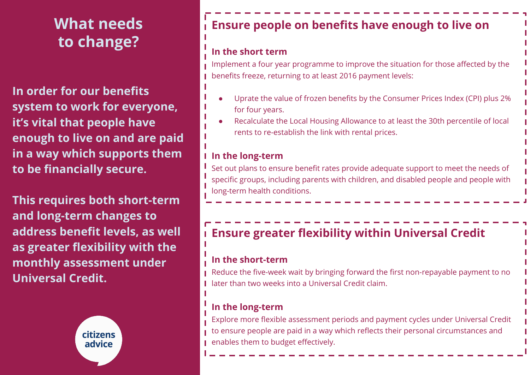# **What needs to change?**

**In order for our benefits system to work for everyone, it's vital that people have enough to live on and are paid in a way which supports them to be financially secure.** 

**This requires both short-term and long-term changes to address benefit levels, as well as greater flexibility with the monthly assessment under Universal Credit.** 



## **Ensure people on benefits have enough to live on**

### **In the short term**

Implement a four year programme to improve the situation for those affected by the benefits freeze, returning to at least 2016 payment levels:

- Uprate the value of frozen benefits by the Consumer Prices Index (CPI) plus 2% for four years.
- Recalculate the Local Housing Allowance to at least the 30th percentile of local rents to re-establish the link with rental prices.

### **In the long-term**

Set out plans to ensure benefit rates provide adequate support to meet the needs of specific groups, including parents with children, and disabled people and people with long-term health conditions.

## **Ensure greater flexibility within Universal Credit**

#### **In the short-term**

Reduce the five-week wait by bringing forward the first non-repayable payment to no later than two weeks into a Universal Credit claim.

### **In the long-term**

Explore more flexible assessment periods and payment cycles under Universal Credit to ensure people are paid in a way which reflects their personal circumstances and **Parables them to budget effectively.**